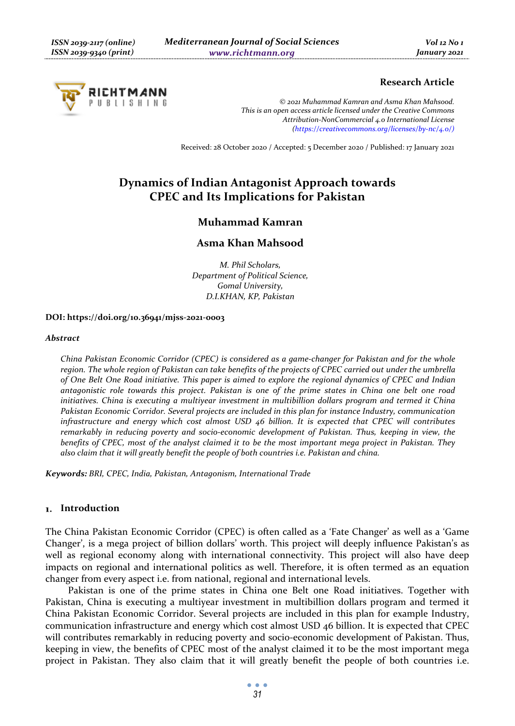# **RICHTMANN** U B L I S H I N O

# **Research Article**

*© 2021 Muhammad Kamran and Asma Khan Mahsood. This is an open access article licensed under the Creative Commons Attribution-NonCommercial 4.0 International License (https://creativecommons.org/licenses/by-nc/4.0/)*

Received: 28 October 2020 / Accepted: 5 December 2020 / Published: 17 January 2021

# **Dynamics of Indian Antagonist Approach towards CPEC and Its Implications for Pakistan**

# **Muhammad Kamran**

# **Asma Khan Mahsood**

*M. Phil Scholars, Department of Political Science, Gomal University, D.I.KHAN, KP, Pakistan* 

### **DOI: https://doi.org/10.36941/mjss-2021-0003**

#### *Abstract*

*China Pakistan Economic Corridor (CPEC) is considered as a game-changer for Pakistan and for the whole region. The whole region of Pakistan can take benefits of the projects of CPEC carried out under the umbrella of One Belt One Road initiative. This paper is aimed to explore the regional dynamics of CPEC and Indian antagonistic role towards this project. Pakistan is one of the prime states in China one belt one road initiatives. China is executing a multiyear investment in multibillion dollars program and termed it China Pakistan Economic Corridor. Several projects are included in this plan for instance Industry, communication infrastructure and energy which cost almost USD 46 billion. It is expected that CPEC will contributes remarkably in reducing poverty and socio-economic development of Pakistan. Thus, keeping in view, the benefits of CPEC, most of the analyst claimed it to be the most important mega project in Pakistan. They also claim that it will greatly benefit the people of both countries i.e. Pakistan and china.* 

*Keywords: BRI, CPEC, India, Pakistan, Antagonism, International Trade* 

# **Introduction**

The China Pakistan Economic Corridor (CPEC) is often called as a 'Fate Changer' as well as a 'Game Changer', is a mega project of billion dollars' worth. This project will deeply influence Pakistan's as well as regional economy along with international connectivity. This project will also have deep impacts on regional and international politics as well. Therefore, it is often termed as an equation changer from every aspect i.e. from national, regional and international levels.

Pakistan is one of the prime states in China one Belt one Road initiatives. Together with Pakistan, China is executing a multiyear investment in multibillion dollars program and termed it China Pakistan Economic Corridor. Several projects are included in this plan for example Industry, communication infrastructure and energy which cost almost USD 46 billion. It is expected that CPEC will contributes remarkably in reducing poverty and socio-economic development of Pakistan. Thus, keeping in view, the benefits of CPEC most of the analyst claimed it to be the most important mega project in Pakistan. They also claim that it will greatly benefit the people of both countries i.e.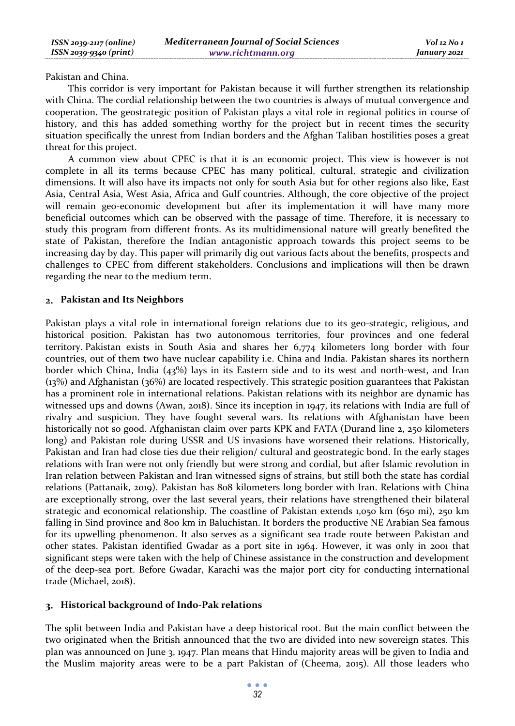Pakistan and China.

This corridor is very important for Pakistan because it will further strengthen its relationship with China. The cordial relationship between the two countries is always of mutual convergence and cooperation. The geostrategic position of Pakistan plays a vital role in regional politics in course of history, and this has added something worthy for the project but in recent times the security situation specifically the unrest from Indian borders and the Afghan Taliban hostilities poses a great threat for this project.

A common view about CPEC is that it is an economic project. This view is however is not complete in all its terms because CPEC has many political, cultural, strategic and civilization dimensions. It will also have its impacts not only for south Asia but for other regions also like, East Asia, Central Asia, West Asia, Africa and Gulf countries. Although, the core objective of the project will remain geo-economic development but after its implementation it will have many more beneficial outcomes which can be observed with the passage of time. Therefore, it is necessary to study this program from different fronts. As its multidimensional nature will greatly benefited the state of Pakistan, therefore the Indian antagonistic approach towards this project seems to be increasing day by day. This paper will primarily dig out various facts about the benefits, prospects and challenges to CPEC from different stakeholders. Conclusions and implications will then be drawn regarding the near to the medium term.

# **Pakistan and Its Neighbors**

Pakistan plays a vital role in international foreign relations due to its geo-strategic, religious, and historical position. Pakistan has two autonomous territories, four provinces and one federal territory. Pakistan exists in South Asia and shares her 6,774 kilometers long border with four countries, out of them two have nuclear capability i.e. China and India. Pakistan shares its northern border which China, India (43%) lays in its Eastern side and to its west and north-west, and Iran (13%) and Afghanistan (36%) are located respectively. This strategic position guarantees that Pakistan has a prominent role in international relations. Pakistan relations with its neighbor are dynamic has witnessed ups and downs (Awan, 2018). Since its inception in 1947, its relations with India are full of rivalry and suspicion. They have fought several wars. Its relations with Afghanistan have been historically not so good. Afghanistan claim over parts KPK and FATA (Durand line 2, 250 kilometers long) and Pakistan role during USSR and US invasions have worsened their relations. Historically, Pakistan and Iran had close ties due their religion/ cultural and geostrategic bond. In the early stages relations with Iran were not only friendly but were strong and cordial, but after Islamic revolution in Iran relation between Pakistan and Iran witnessed signs of strains, but still both the state has cordial relations (Pattanaik, 2019). Pakistan has 808 kilometers long border with Iran. Relations with China are exceptionally strong, over the last several years, their relations have strengthened their bilateral strategic and economical relationship. The coastline of Pakistan extends 1,050 km (650 mi), 250 km falling in Sind province and 800 km in Baluchistan. It borders the productive NE Arabian Sea famous for its upwelling phenomenon. It also serves as a significant sea trade route between Pakistan and other states. Pakistan identified Gwadar as a port site in 1964. However, it was only in 2001 that significant steps were taken with the help of Chinese assistance in the construction and development of the deep-sea port. Before Gwadar, Karachi was the major port city for conducting international trade (Michael, 2018).

# **Historical background of Indo-Pak relations**

The split between India and Pakistan have a deep historical root. But the main conflict between the two originated when the British announced that the two are divided into new sovereign states. This plan was announced on June 3, 1947. Plan means that Hindu majority areas will be given to India and the Muslim majority areas were to be a part Pakistan of (Cheema, 2015). All those leaders who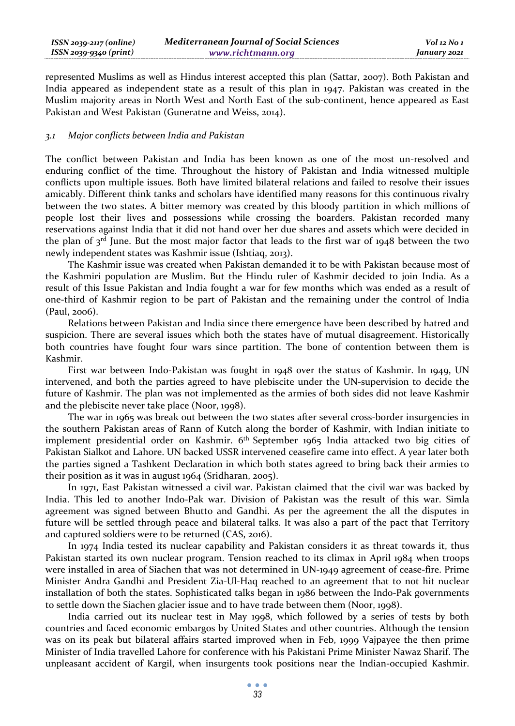| $ISSN 2039-2117 (online)$ | <b>Mediterranean Journal of Social Sciences</b> | Vol 12 No 1  |
|---------------------------|-------------------------------------------------|--------------|
| ISSN 2039-9340 (print)    | www.richtmann.org                               | January 2021 |

represented Muslims as well as Hindus interest accepted this plan (Sattar, 2007). Both Pakistan and India appeared as independent state as a result of this plan in 1947. Pakistan was created in the Muslim majority areas in North West and North East of the sub-continent, hence appeared as East Pakistan and West Pakistan (Guneratne and Weiss, 2014).

#### *3.1 Major conflicts between India and Pakistan*

The conflict between Pakistan and India has been known as one of the most un-resolved and enduring conflict of the time. Throughout the history of Pakistan and India witnessed multiple conflicts upon multiple issues. Both have limited bilateral relations and failed to resolve their issues amicably. Different think tanks and scholars have identified many reasons for this continuous rivalry between the two states. A bitter memory was created by this bloody partition in which millions of people lost their lives and possessions while crossing the boarders. Pakistan recorded many reservations against India that it did not hand over her due shares and assets which were decided in the plan of  $3<sup>rd</sup>$  June. But the most major factor that leads to the first war of 1948 between the two newly independent states was Kashmir issue (Ishtiaq, 2013).

The Kashmir issue was created when Pakistan demanded it to be with Pakistan because most of the Kashmiri population are Muslim. But the Hindu ruler of Kashmir decided to join India. As a result of this Issue Pakistan and India fought a war for few months which was ended as a result of one-third of Kashmir region to be part of Pakistan and the remaining under the control of India (Paul, 2006).

Relations between Pakistan and India since there emergence have been described by hatred and suspicion. There are several issues which both the states have of mutual disagreement. Historically both countries have fought four wars since partition. The bone of contention between them is Kashmir.

First war between Indo-Pakistan was fought in 1948 over the status of Kashmir. In 1949, UN intervened, and both the parties agreed to have plebiscite under the UN-supervision to decide the future of Kashmir. The plan was not implemented as the armies of both sides did not leave Kashmir and the plebiscite never take place (Noor, 1998).

The war in 1965 was break out between the two states after several cross-border insurgencies in the southern Pakistan areas of Rann of Kutch along the border of Kashmir, with Indian initiate to implement presidential order on Kashmir. 6th September 1965 India attacked two big cities of Pakistan Sialkot and Lahore. UN backed USSR intervened ceasefire came into effect. A year later both the parties signed a Tashkent Declaration in which both states agreed to bring back their armies to their position as it was in august 1964 (Sridharan, 2005).

In 1971, East Pakistan witnessed a civil war. Pakistan claimed that the civil war was backed by India. This led to another Indo-Pak war. Division of Pakistan was the result of this war. Simla agreement was signed between Bhutto and Gandhi. As per the agreement the all the disputes in future will be settled through peace and bilateral talks. It was also a part of the pact that Territory and captured soldiers were to be returned (CAS, 2016).

In 1974 India tested its nuclear capability and Pakistan considers it as threat towards it, thus Pakistan started its own nuclear program. Tension reached to its climax in April 1984 when troops were installed in area of Siachen that was not determined in UN-1949 agreement of cease-fire. Prime Minister Andra Gandhi and President Zia-Ul-Haq reached to an agreement that to not hit nuclear installation of both the states. Sophisticated talks began in 1986 between the Indo-Pak governments to settle down the Siachen glacier issue and to have trade between them (Noor, 1998).

India carried out its nuclear test in May 1998, which followed by a series of tests by both countries and faced economic embargos by United States and other countries. Although the tension was on its peak but bilateral affairs started improved when in Feb, 1999 Vajpayee the then prime Minister of India travelled Lahore for conference with his Pakistani Prime Minister Nawaz Sharif. The unpleasant accident of Kargil, when insurgents took positions near the Indian-occupied Kashmir.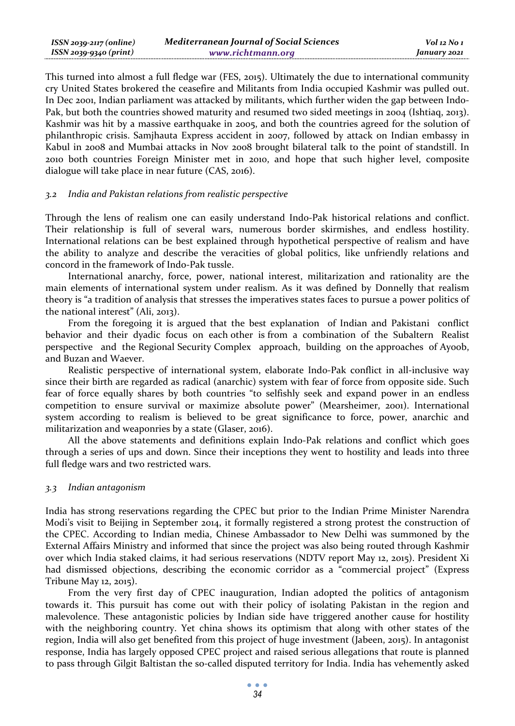| $ISSN 2039-2117 (online)$ | <b>Mediterranean Journal of Social Sciences</b> | $Vol$ 12 No 1 |
|---------------------------|-------------------------------------------------|---------------|
| ISSN 2039-9340 (print)    | www.richtmann.org                               | January 2021  |

This turned into almost a full fledge war (FES, 2015). Ultimately the due to international community cry United States brokered the ceasefire and Militants from India occupied Kashmir was pulled out. In Dec 2001, Indian parliament was attacked by militants, which further widen the gap between Indo-Pak, but both the countries showed maturity and resumed two sided meetings in 2004 (Ishtiaq, 2013). Kashmir was hit by a massive earthquake in 2005, and both the countries agreed for the solution of philanthropic crisis. Samjhauta Express accident in 2007, followed by attack on Indian embassy in Kabul in 2008 and Mumbai attacks in Nov 2008 brought bilateral talk to the point of standstill. In 2010 both countries Foreign Minister met in 2010, and hope that such higher level, composite dialogue will take place in near future (CAS, 2016).

### *3.2 India and Pakistan relations from realistic perspective*

Through the lens of realism one can easily understand Indo-Pak historical relations and conflict. Their relationship is full of several wars, numerous border skirmishes, and endless hostility. International relations can be best explained through hypothetical perspective of realism and have the ability to analyze and describe the veracities of global politics, like unfriendly relations and concord in the framework of Indo-Pak tussle.

International anarchy, force, power, national interest, militarization and rationality are the main elements of international system under realism. As it was defined by Donnelly that realism theory is "a tradition of analysis that stresses the imperatives states faces to pursue a power politics of the national interest" (Ali, 2013).

From the foregoing it is argued that the best explanation of Indian and Pakistani conflict behavior and their dyadic focus on each other is from a combination of the Subaltern Realist perspective and the Regional Security Complex approach, building on the approaches of Ayoob, and Buzan and Waever.

Realistic perspective of international system, elaborate Indo-Pak conflict in all-inclusive way since their birth are regarded as radical (anarchic) system with fear of force from opposite side. Such fear of force equally shares by both countries "to selfishly seek and expand power in an endless competition to ensure survival or maximize absolute power" (Mearsheimer, 2001). International system according to realism is believed to be great significance to force, power, anarchic and militarization and weaponries by a state (Glaser, 2016).

All the above statements and definitions explain Indo-Pak relations and conflict which goes through a series of ups and down. Since their inceptions they went to hostility and leads into three full fledge wars and two restricted wars.

# *3.3 Indian antagonism*

India has strong reservations regarding the CPEC but prior to the Indian Prime Minister Narendra Modi's visit to Beijing in September 2014, it formally registered a strong protest the construction of the CPEC. According to Indian media, Chinese Ambassador to New Delhi was summoned by the External Affairs Ministry and informed that since the project was also being routed through Kashmir over which India staked claims, it had serious reservations (NDTV report May 12, 2015). President Xi had dismissed objections, describing the economic corridor as a "commercial project" (Express Tribune May 12, 2015).

From the very first day of CPEC inauguration, Indian adopted the politics of antagonism towards it. This pursuit has come out with their policy of isolating Pakistan in the region and malevolence. These antagonistic policies by Indian side have triggered another cause for hostility with the neighboring country. Yet china shows its optimism that along with other states of the region, India will also get benefited from this project of huge investment (Jabeen, 2015). In antagonist response, India has largely opposed CPEC project and raised serious allegations that route is planned to pass through Gilgit Baltistan the so-called disputed territory for India. India has vehemently asked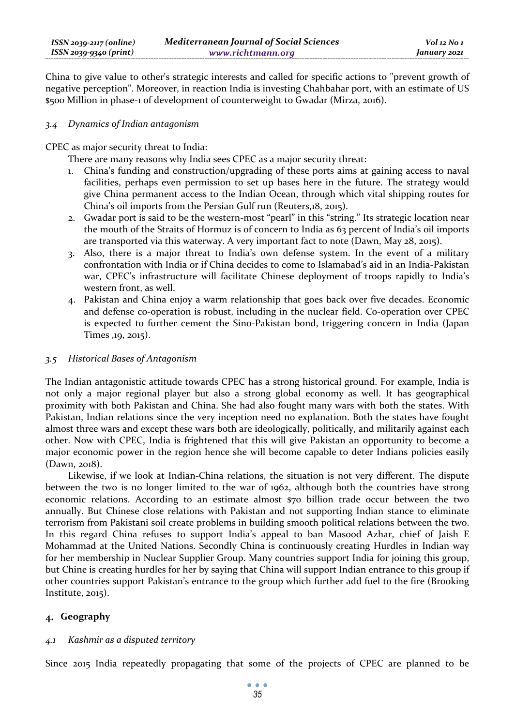China to give value to other's strategic interests and called for specific actions to "prevent growth of negative perception". Moreover, in reaction India is investing Chahbahar port, with an estimate of US \$500 Million in phase-1 of development of counterweight to Gwadar (Mirza, 2016).

# *3.4 Dynamics of Indian antagonism*

CPEC as major security threat to India:

There are many reasons why India sees CPEC as a major security threat:

- 1. China's funding and construction/upgrading of these ports aims at gaining access to naval facilities, perhaps even permission to set up bases here in the future. The strategy would give China permanent access to the Indian Ocean, through which vital shipping routes for China's oil imports from the Persian Gulf run (Reuters,18, 2015).
- 2. Gwadar port is said to be the western-most "pearl" in this "string." Its strategic location near the mouth of the Straits of Hormuz is of concern to India as 63 percent of India's oil imports are transported via this waterway. A very important fact to note (Dawn, May 28, 2015).
- 3. Also, there is a major threat to India's own defense system. In the event of a military confrontation with India or if China decides to come to Islamabad's aid in an India-Pakistan war, CPEC's infrastructure will facilitate Chinese deployment of troops rapidly to India's western front, as well.
- 4. Pakistan and China enjoy a warm relationship that goes back over five decades. Economic and defense co-operation is robust, including in the nuclear field. Co-operation over CPEC is expected to further cement the Sino-Pakistan bond, triggering concern in India (Japan Times ,19, 2015).

# *3.5 Historical Bases of Antagonism*

The Indian antagonistic attitude towards CPEC has a strong historical ground. For example, India is not only a major regional player but also a strong global economy as well. It has geographical proximity with both Pakistan and China. She had also fought many wars with both the states. With Pakistan, Indian relations since the very inception need no explanation. Both the states have fought almost three wars and except these wars both are ideologically, politically, and militarily against each other. Now with CPEC, India is frightened that this will give Pakistan an opportunity to become a major economic power in the region hence she will become capable to deter Indians policies easily (Dawn, 2018).

Likewise, if we look at Indian-China relations, the situation is not very different. The dispute between the two is no longer limited to the war of 1962, although both the countries have strong economic relations. According to an estimate almost \$70 billion trade occur between the two annually. But Chinese close relations with Pakistan and not supporting Indian stance to eliminate terrorism from Pakistani soil create problems in building smooth political relations between the two. In this regard China refuses to support India's appeal to ban Masood Azhar, chief of Jaish E Mohammad at the United Nations. Secondly China is continuously creating Hurdles in Indian way for her membership in Nuclear Supplier Group. Many countries support India for joining this group, but Chine is creating hurdles for her by saying that China will support Indian entrance to this group if other countries support Pakistan's entrance to the group which further add fuel to the fire (Brooking Institute, 2015).

# **Geography**

# *4.1 Kashmir as a disputed territory*

Since 2015 India repeatedly propagating that some of the projects of CPEC are planned to be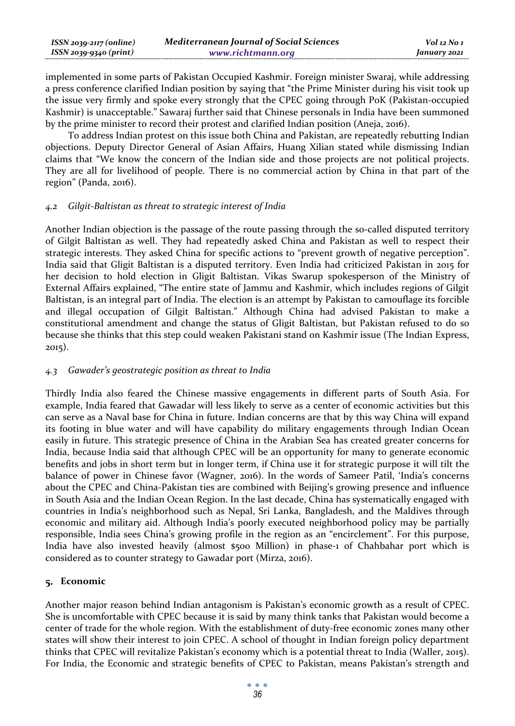| ISSN 2039-2117 (online) | <b>Mediterranean Journal of Social Sciences</b> | Vol 12 No 1  |
|-------------------------|-------------------------------------------------|--------------|
| ISSN 2039-9340 (print)  | www.richtmann.org                               | January 2021 |

implemented in some parts of Pakistan Occupied Kashmir. Foreign minister Swaraj, while addressing a press conference clarified Indian position by saying that "the Prime Minister during his visit took up the issue very firmly and spoke every strongly that the CPEC going through PoK (Pakistan-occupied Kashmir) is unacceptable." Sawaraj further said that Chinese personals in India have been summoned by the prime minister to record their protest and clarified Indian position (Aneja, 2016).

To address Indian protest on this issue both China and Pakistan, are repeatedly rebutting Indian objections. Deputy Director General of Asian Affairs, Huang Xilian stated while dismissing Indian claims that "We know the concern of the Indian side and those projects are not political projects. They are all for livelihood of people. There is no commercial action by China in that part of the region" (Panda, 2016).

### *4.2 Gilgit-Baltistan as threat to strategic interest of India*

Another Indian objection is the passage of the route passing through the so-called disputed territory of Gilgit Baltistan as well. They had repeatedly asked China and Pakistan as well to respect their strategic interests. They asked China for specific actions to "prevent growth of negative perception". India said that Gligit Baltistan is a disputed territory. Even India had criticized Pakistan in 2015 for her decision to hold election in Gligit Baltistan. Vikas Swarup spokesperson of the Ministry of External Affairs explained, "The entire state of Jammu and Kashmir, which includes regions of Gilgit Baltistan, is an integral part of India. The election is an attempt by Pakistan to camouflage its forcible and illegal occupation of Gilgit Baltistan." Although China had advised Pakistan to make a constitutional amendment and change the status of Gligit Baltistan, but Pakistan refused to do so because she thinks that this step could weaken Pakistani stand on Kashmir issue (The Indian Express, 2015).

# *4.3 Gawader's geostrategic position as threat to India*

Thirdly India also feared the Chinese massive engagements in different parts of South Asia. For example, India feared that Gawadar will less likely to serve as a center of economic activities but this can serve as a Naval base for China in future. Indian concerns are that by this way China will expand its footing in blue water and will have capability do military engagements through Indian Ocean easily in future. This strategic presence of China in the Arabian Sea has created greater concerns for India, because India said that although CPEC will be an opportunity for many to generate economic benefits and jobs in short term but in longer term, if China use it for strategic purpose it will tilt the balance of power in Chinese favor (Wagner, 2016). In the words of Sameer Patil, 'India's concerns about the CPEC and China-Pakistan ties are combined with Beijing's growing presence and influence in South Asia and the Indian Ocean Region. In the last decade, China has systematically engaged with countries in India's neighborhood such as Nepal, Sri Lanka, Bangladesh, and the Maldives through economic and military aid. Although India's poorly executed neighborhood policy may be partially responsible, India sees China's growing profile in the region as an "encirclement". For this purpose, India have also invested heavily (almost \$500 Million) in phase-1 of Chahbahar port which is considered as to counter strategy to Gawadar port (Mirza, 2016).

# **Economic**

Another major reason behind Indian antagonism is Pakistan's economic growth as a result of CPEC. She is uncomfortable with CPEC because it is said by many think tanks that Pakistan would become a center of trade for the whole region. With the establishment of duty-free economic zones many other states will show their interest to join CPEC. A school of thought in Indian foreign policy department thinks that CPEC will revitalize Pakistan's economy which is a potential threat to India (Waller, 2015). For India, the Economic and strategic benefits of CPEC to Pakistan, means Pakistan's strength and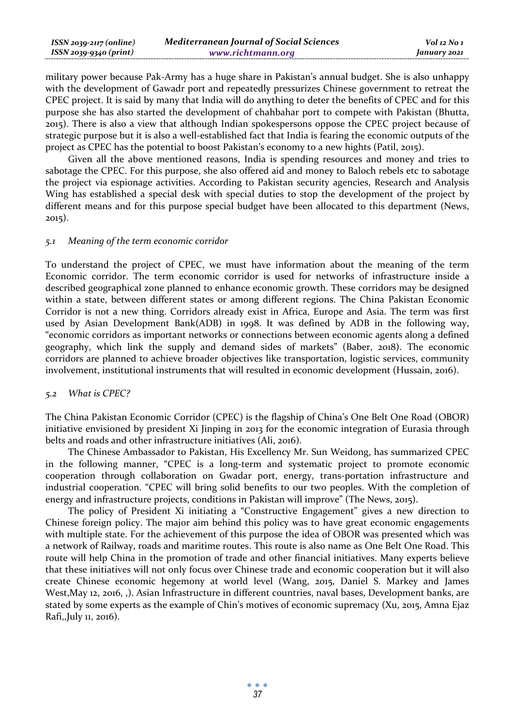| ISSN 2039-2117 (online) | <b>Mediterranean Journal of Social Sciences</b> | Vol 12 No 1  |
|-------------------------|-------------------------------------------------|--------------|
| ISSN 2039-9340 (print)  | www.richtmann.org                               | January 2021 |

military power because Pak-Army has a huge share in Pakistan's annual budget. She is also unhappy with the development of Gawadr port and repeatedly pressurizes Chinese government to retreat the CPEC project. It is said by many that India will do anything to deter the benefits of CPEC and for this purpose she has also started the development of chahbahar port to compete with Pakistan (Bhutta, 2015). There is also a view that although Indian spokespersons oppose the CPEC project because of strategic purpose but it is also a well-established fact that India is fearing the economic outputs of the project as CPEC has the potential to boost Pakistan's economy to a new hights (Patil, 2015).

Given all the above mentioned reasons, India is spending resources and money and tries to sabotage the CPEC. For this purpose, she also offered aid and money to Baloch rebels etc to sabotage the project via espionage activities. According to Pakistan security agencies, Research and Analysis Wing has established a special desk with special duties to stop the development of the project by different means and for this purpose special budget have been allocated to this department (News, 2015).

#### *5.1 Meaning of the term economic corridor*

To understand the project of CPEC, we must have information about the meaning of the term Economic corridor. The term economic corridor is used for networks of infrastructure inside a described geographical zone planned to enhance economic growth. These corridors may be designed within a state, between different states or among different regions. The China Pakistan Economic Corridor is not a new thing. Corridors already exist in Africa, Europe and Asia. The term was first used by Asian Development Bank(ADB) in 1998. It was defined by ADB in the following way, "economic corridors as important networks or connections between economic agents along a defined geography, which link the supply and demand sides of markets" (Baber, 2018). The economic corridors are planned to achieve broader objectives like transportation, logistic services, community involvement, institutional instruments that will resulted in economic development (Hussain, 2016).

#### *5.2 What is CPEC?*

The China Pakistan Economic Corridor (CPEC) is the flagship of China's One Belt One Road (OBOR) initiative envisioned by president Xi Jinping in 2013 for the economic integration of Eurasia through belts and roads and other infrastructure initiatives (Ali, 2016).

The Chinese Ambassador to Pakistan, His Excellency Mr. Sun Weidong, has summarized CPEC in the following manner, "CPEC is a long-term and systematic project to promote economic cooperation through collaboration on Gwadar port, energy, trans-portation infrastructure and industrial cooperation. "CPEC will bring solid benefits to our two peoples. With the completion of energy and infrastructure projects, conditions in Pakistan will improve" (The News, 2015).

The policy of President Xi initiating a "Constructive Engagement" gives a new direction to Chinese foreign policy. The major aim behind this policy was to have great economic engagements with multiple state. For the achievement of this purpose the idea of OBOR was presented which was a network of Railway, roads and maritime routes. This route is also name as One Belt One Road. This route will help China in the promotion of trade and other financial initiatives. Many experts believe that these initiatives will not only focus over Chinese trade and economic cooperation but it will also create Chinese economic hegemony at world level (Wang, 2015, Daniel S. Markey and James West,May 12, 2016, ,). Asian Infrastructure in different countries, naval bases, Development banks, are stated by some experts as the example of Chin's motives of economic supremacy (Xu, 2015, Amna Ejaz Rafi,,July 11, 2016).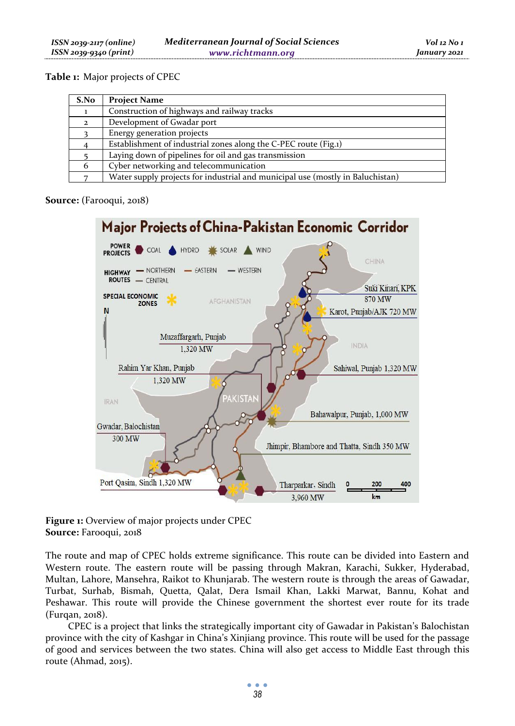# **Table 1:** Major projects of CPEC

| S.No         | <b>Project Name</b>                                                            |
|--------------|--------------------------------------------------------------------------------|
|              | Construction of highways and railway tracks                                    |
| $\mathbf{2}$ | Development of Gwadar port                                                     |
|              | Energy generation projects                                                     |
|              | Establishment of industrial zones along the C-PEC route (Fig.1)                |
|              | Laying down of pipelines for oil and gas transmission                          |
| 6            | Cyber networking and telecommunication                                         |
|              | Water supply projects for industrial and municipal use (mostly in Baluchistan) |

# **Source:** (Farooqui, 2018)



**Figure 1:** Overview of major projects under CPEC **Source:** Farooqui, 2018

The route and map of CPEC holds extreme significance. This route can be divided into Eastern and Western route. The eastern route will be passing through Makran, Karachi, Sukker, Hyderabad, Multan, Lahore, Mansehra, Raikot to Khunjarab. The western route is through the areas of Gawadar, Turbat, Surhab, Bismah, Quetta, Qalat, Dera Ismail Khan, Lakki Marwat, Bannu, Kohat and Peshawar. This route will provide the Chinese government the shortest ever route for its trade (Furqan, 2018).

CPEC is a project that links the strategically important city of Gawadar in Pakistan's Balochistan province with the city of Kashgar in China's Xinjiang province. This route will be used for the passage of good and services between the two states. China will also get access to Middle East through this route (Ahmad, 2015).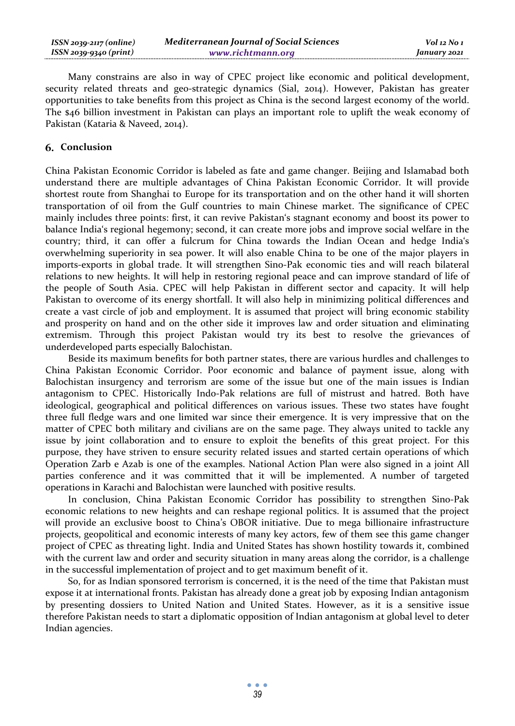| $ISSN 2039-2117 (online)$ | <b>Mediterranean Journal of Social Sciences</b> | Vol 12 No 1  |
|---------------------------|-------------------------------------------------|--------------|
| ISSN 2039-9340 (print)    | www.richtmann.org                               | January 2021 |

Many constrains are also in way of CPEC project like economic and political development, security related threats and geo-strategic dynamics (Sial, 2014). However, Pakistan has greater opportunities to take benefits from this project as China is the second largest economy of the world. The \$46 billion investment in Pakistan can plays an important role to uplift the weak economy of Pakistan (Kataria & Naveed, 2014).

### **Conclusion**

China Pakistan Economic Corridor is labeled as fate and game changer. Beijing and Islamabad both understand there are multiple advantages of China Pakistan Economic Corridor. It will provide shortest route from Shanghai to Europe for its transportation and on the other hand it will shorten transportation of oil from the Gulf countries to main Chinese market. The significance of CPEC mainly includes three points: first, it can revive Pakistan's stagnant economy and boost its power to balance India's regional hegemony; second, it can create more jobs and improve social welfare in the country; third, it can offer a fulcrum for China towards the Indian Ocean and hedge India's overwhelming superiority in sea power. It will also enable China to be one of the major players in imports-exports in global trade. It will strengthen Sino-Pak economic ties and will reach bilateral relations to new heights. It will help in restoring regional peace and can improve standard of life of the people of South Asia. CPEC will help Pakistan in different sector and capacity. It will help Pakistan to overcome of its energy shortfall. It will also help in minimizing political differences and create a vast circle of job and employment. It is assumed that project will bring economic stability and prosperity on hand and on the other side it improves law and order situation and eliminating extremism. Through this project Pakistan would try its best to resolve the grievances of underdeveloped parts especially Balochistan.

Beside its maximum benefits for both partner states, there are various hurdles and challenges to China Pakistan Economic Corridor. Poor economic and balance of payment issue, along with Balochistan insurgency and terrorism are some of the issue but one of the main issues is Indian antagonism to CPEC. Historically Indo-Pak relations are full of mistrust and hatred. Both have ideological, geographical and political differences on various issues. These two states have fought three full fledge wars and one limited war since their emergence. It is very impressive that on the matter of CPEC both military and civilians are on the same page. They always united to tackle any issue by joint collaboration and to ensure to exploit the benefits of this great project. For this purpose, they have striven to ensure security related issues and started certain operations of which Operation Zarb e Azab is one of the examples. National Action Plan were also signed in a joint All parties conference and it was committed that it will be implemented. A number of targeted operations in Karachi and Balochistan were launched with positive results.

In conclusion, China Pakistan Economic Corridor has possibility to strengthen Sino-Pak economic relations to new heights and can reshape regional politics. It is assumed that the project will provide an exclusive boost to China's OBOR initiative. Due to mega billionaire infrastructure projects, geopolitical and economic interests of many key actors, few of them see this game changer project of CPEC as threating light. India and United States has shown hostility towards it, combined with the current law and order and security situation in many areas along the corridor, is a challenge in the successful implementation of project and to get maximum benefit of it.

So, for as Indian sponsored terrorism is concerned, it is the need of the time that Pakistan must expose it at international fronts. Pakistan has already done a great job by exposing Indian antagonism by presenting dossiers to United Nation and United States. However, as it is a sensitive issue therefore Pakistan needs to start a diplomatic opposition of Indian antagonism at global level to deter Indian agencies.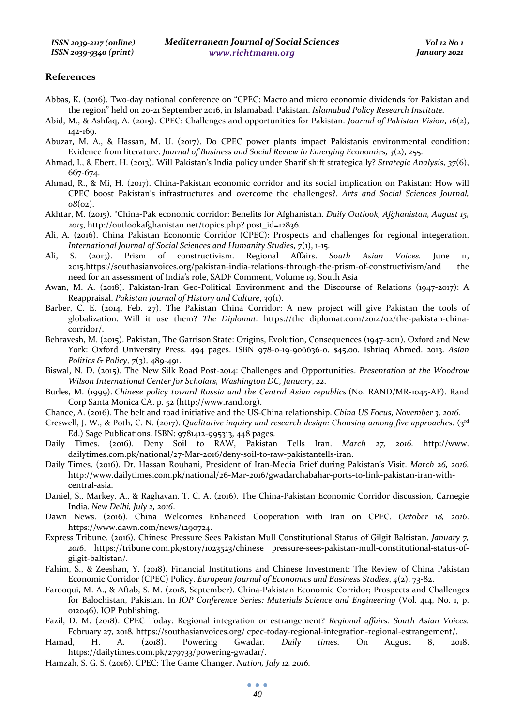#### **References**

- Abbas, K. (2016). Two-day national conference on "CPEC: Macro and micro economic dividends for Pakistan and the region" held on 20-21 September 2016, in Islamabad, Pakistan. *Islamabad Policy Research Institute.*
- Abid, M., & Ashfaq, A. (2015). CPEC: Challenges and opportunities for Pakistan. *Journal of Pakistan Vision*, *16*(2), 142-169.
- Abuzar, M. A., & Hassan, M. U. (2017). Do CPEC power plants impact Pakistanis environmental condition: Evidence from literature. *Journal of Business and Social Review in Emerging Economies, 3*(2), 255.
- Ahmad, I., & Ebert, H. (2013). Will Pakistan's India policy under Sharif shift strategically? *Strategic Analysis, 37*(6), 667-674.
- Ahmad, R., & Mi, H. (2017). China-Pakistan economic corridor and its social implication on Pakistan: How will CPEC boost Pakistan's infrastructures and overcome the challenges?. *Arts and Social Sciences Journal, 08*(02).
- Akhtar, M. (2015). "China-Pak economic corridor: Benefits for Afghanistan. *Daily Outlook, Afghanistan, August 15, 2015*, http://outlookafghanistan.net/topics.php? post\_id=12836.
- Ali, A. (2016). China Pakistan Economic Corridor (CPEC): Prospects and challenges for regional integeration. *International Journal of Social Sciences and Humanity Studies, 7(1), 1-15.*<br>S. (2013). Prism of constructivism. Regional Affairs. South
- Ali, S. (2013). Prism of constructivism. Regional Affairs. *South Asian Voices.* June 11, 2015*.*https://southasianvoices.org/pakistan-india-relations-through-the-prism-of-constructivism/and the need for an assessment of India's role, SADF Comment, Volume 19, South Asia
- Awan, M. A. (2018). Pakistan-Iran Geo-Political Environment and the Discourse of Relations (1947-2017): A Reappraisal. *Pakistan Journal of History and Culture*, *39*(1).
- Barber, C. E. (2014, Feb. 27). The Pakistan China Corridor: A new project will give Pakistan the tools of globalization. Will it use them? *The Diplomat.* https://the diplomat.com/2014/02/the-pakistan-chinacorridor/.
- Behravesh, M. (2015). Pakistan, The Garrison State: Origins, Evolution, Consequences (1947-2011). Oxford and New York: Oxford University Press. 494 pages. ISBN 978-0-19-906636-0. \$45.00. Ishtiaq Ahmed. 2013. *Asian Politics & Policy*, *7*(3), 489-491.
- Biswal, N. D. (2015). The New Silk Road Post-2014: Challenges and Opportunities. *Presentation at the Woodrow Wilson International Center for Scholars, Washington DC, January*, *22*.
- Burles, M. (1999). *Chinese policy toward Russia and the Central Asian republics* (No. RAND/MR-1045-AF). Rand Corp Santa Monica CA. p. 52 (http://www.rand.org).
- Chance, A. (2016). The belt and road initiative and the US-China relationship. *China US Focus, November 3, 2016*.
- Creswell, J. W., & Poth, C. N. (2017). *Qualitative inquiry and research design: Choosing among five approaches*. (3rd Ed.) Sage Publications. ISBN: 9781412-995313, 448 pages.
- Daily Times. (2016). Deny Soil to RAW, Pakistan Tells Iran. *March 27, 2016.* http://www. dailytimes.com.pk/national/27-Mar-2016/deny-soil-to-raw-pakistantells-iran.
- Daily Times. (2016). Dr. Hassan Rouhani, President of Iran-Media Brief during Pakistan's Visit. *March 26, 2016.* http://www.dailytimes.com.pk/national/26-Mar-2016/gwadarchabahar-ports-to-link-pakistan-iran-withcentral-asia.
- Daniel, S., Markey, A., & Raghavan, T. C. A. (2016). The China-Pakistan Economic Corridor discussion, Carnegie India. *New Delhi, July 2, 2016*.
- Dawn News. (2016). China Welcomes Enhanced Cooperation with Iran on CPEC. *October 18, 2016*. https://www.dawn.com/news/1290724.
- Express Tribune. (2016). Chinese Pressure Sees Pakistan Mull Constitutional Status of Gilgit Baltistan. *January 7, 2016*. https://tribune.com.pk/story/1023523/chinese pressure-sees-pakistan-mull-constitutional-status-ofgilgit-baltistan/.
- Fahim, S., & Zeeshan, Y. (2018). Financial Institutions and Chinese Investment: The Review of China Pakistan Economic Corridor (CPEC) Policy. *European Journal of Economics and Business Studies*, *4*(2), 73-82.
- Farooqui, M. A., & Aftab, S. M. (2018, September). China-Pakistan Economic Corridor; Prospects and Challenges for Balochistan, Pakistan. In *IOP Conference Series: Materials Science and Engineering* (Vol. 414, No. 1, p. 012046). IOP Publishing.
- Fazil, D. M. (2018). CPEC Today: Regional integration or estrangement? *Regional affairs. South Asian Voices.*  February 27, 2018*.* https://southasianvoices.org/ cpec-today-regional-integration-regional-estrangement/.
- Hamad, H. A. (2018). Powering Gwadar. *Daily times.* On August 8, 2018. https://dailytimes.com.pk/279733/powering-gwadar/.
- Hamzah, S. G. S. (2016). CPEC: The Game Changer. *Nation, July 12, 2016.*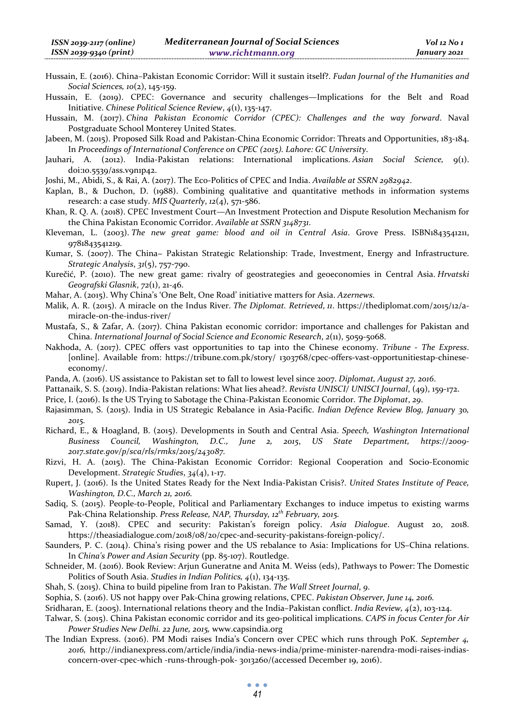- Hussain, E. (2016). China–Pakistan Economic Corridor: Will it sustain itself?. *Fudan Journal of the Humanities and Social Sciences, 10*(2), 145-159.
- Hussain, E. (2019). CPEC: Governance and security challenges—Implications for the Belt and Road Initiative. *Chinese Political Science Review*, *4*(1), 135-147.

Hussain, M. (2017). *China Pakistan Economic Corridor (CPEC): Challenges and the way forward*. Naval Postgraduate School Monterey United States.

- Jabeen, M. (2015). Proposed Silk Road and Pakistan-China Economic Corridor: Threats and Opportunities, 183-184. In *Proceedings of International Conference on CPEC (2015). Lahore: GC University*.
- Jauhari, A. (2012). India-Pakistan relations: International implications. *Asian Social Science,* 9(1). doi:10.5539/ass.v9n1p42.

Joshi, M., Abidi, S., & Rai, A. (2017). The Eco-Politics of CPEC and India. *Available at SSRN 2982942*.

Kaplan, B., & Duchon, D. (1988). Combining qualitative and quantitative methods in information systems research: a case study. *MIS Quarterly*, *12*(4), 571-586.

Khan, R. Q. A. (2018). CPEC Investment Court—An Investment Protection and Dispute Resolution Mechanism for the China Pakistan Economic Corridor. *Available at SSRN 3148731*.

Kleveman, L. (2003). *The new great game: blood and oil in Central Asia*. Grove Press. ISBN1843541211, 9781843541219.

Kumar, S. (2007). The China− Pakistan Strategic Relationship: Trade, Investment, Energy and Infrastructure. *Strategic Analysis*, *31*(5), 757-790.

Kurečić, P. (2010). The new great game: rivalry of geostrategies and geoeconomies in Central Asia. *Hrvatski Geografski Glasnik*, *72*(1), 21-46.

Mahar, A. (2015). Why China's 'One Belt, One Road' initiative matters for Asia. *Azernews*.

- Malik, A. R. (2015). A miracle on the Indus River. *The Diplomat. Retrieved*, *11*. https://thediplomat.com/2015/12/amiracle-on-the-indus-river/
- Mustafa, S., & Zafar, A. (2017). China Pakistan economic corridor: importance and challenges for Pakistan and China. *International Journal of Social Science and Economic Research*, *2*(11), 5059-5068.
- Nakhoda, A. (2017). CPEC offers vast opportunities to tap into the Chinese economy. *Tribune The Express*. [online]. Available from: https://tribune.com.pk/story/ 1303768/cpec-offers-vast-opportunitiestap-chineseeconomy/.
- Panda, A. (2016). US assistance to Pakistan set to fall to lowest level since 2007. *Diplomat, August 27, 2016*.
- Pattanaik, S. S. (2019). India-Pakistan relations: What lies ahead?. *Revista UNISCI/ UNISCI Journal*, (49), 159-172.

Price, I. (2016). Is the US Trying to Sabotage the China-Pakistan Economic Corridor. *The Diplomat*, *29*.

- Rajasimman, S. (2015). India in US Strategic Rebalance in Asia-Pacific. *Indian Defence Review Blog, January 30, 2015.*
- Richard, E., & Hoagland, B. (2015). Developments in South and Central Asia. *Speech, Washington International Business Council, Washington, D.C., June 2, 2015*, *US State Department, https://2009- 2017.state.gov/p/sca/rls/rmks/2015/243087.*
- Rizvi, H. A. (2015). The China-Pakistan Economic Corridor: Regional Cooperation and Socio-Economic Development. *Strategic Studies*, *34*(4), 1-17.
- Rupert, J. (2016). Is the United States Ready for the Next India-Pakistan Crisis?. *United States Institute of Peace, Washington, D.C., March 21, 2016.*
- Sadiq, S. (2015). People-to-People, Political and Parliamentary Exchanges to induce impetus to existing warms Pak-China Relationship. *Press Release, NAP, Thursday, 12th February, 2015.*
- Samad, Y. (2018). CPEC and security: Pakistan's foreign policy. *Asia Dialogue*. August 20, 2018. https://theasiadialogue.com/2018/08/20/cpec-and-security-pakistans-foreign-policy/.
- Saunders, P. C. (2014). China's rising power and the US rebalance to Asia: Implications for US–China relations. In *China's Power and Asian Security* (pp. 85-107). Routledge.
- Schneider, M. (2016). Book Review: Arjun Guneratne and Anita M. Weiss (eds), Pathways to Power: The Domestic Politics of South Asia. *Studies in Indian Politics, 4*(1), 134-135.
- Shah, S. (2015). China to build pipeline from Iran to Pakistan. *The Wall Street Journal*, *9*.
- Sophia, S. (2016). US not happy over Pak-China growing relations, CPEC. *Pakistan Observer, June 14, 2016.*

Sridharan, E. (2005). International relations theory and the India–Pakistan conflict. *India Review, 4*(2), 103-124.

- Talwar, S. (2015). China Pakistan economic corridor and its geo-political implications. *CAPS in focus Center for Air Power Studies New Delhi. 22 June, 2015,* www.capsindia.org
- The Indian Express. (2016). PM Modi raises India's Concern over CPEC which runs through PoK. *September 4, 2016,* http://indianexpress.com/article/india/india-news-india/prime-minister-narendra-modi-raises-indiasconcern-over-cpec-which -runs-through-pok- 3013260/(accessed December 19, 2016).